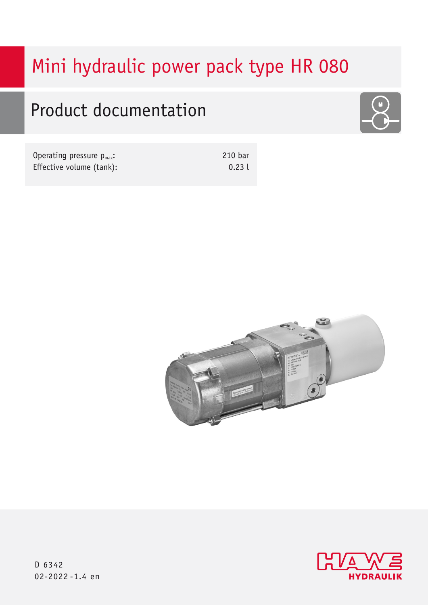# Mini hydraulic power pack type HR 080

# Product documentation



| Operating pressure $p_{max}$ : | 210 bar |
|--------------------------------|---------|
| Effective volume (tank):       | 0.23    |





D 6342 02-2022 -1.4 en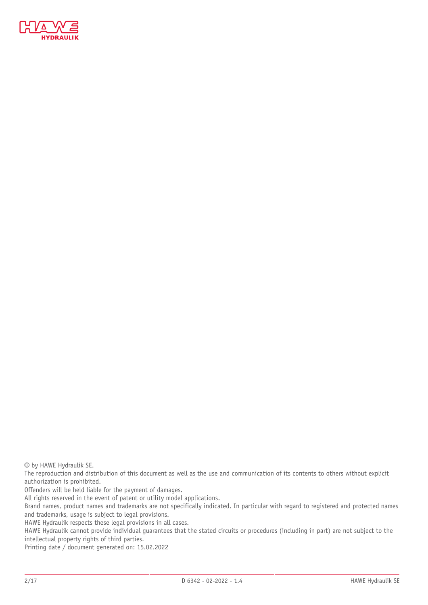

© by HAWE Hydraulik SE.

The reproduction and distribution of this document as well as the use and communication of its contents to others without explicit authorization is prohibited.

Offenders will be held liable for the payment of damages.

All rights reserved in the event of patent or utility model applications.

Brand names, product names and trademarks are not specifically indicated. In particular with regard to registered and protected names and trademarks, usage is subject to legal provisions.

HAWE Hydraulik respects these legal provisions in all cases.

HAWE Hydraulik cannot provide individual guarantees that the stated circuits or procedures (including in part) are not subject to the intellectual property rights of third parties.

Printing date / document generated on: 15.02.2022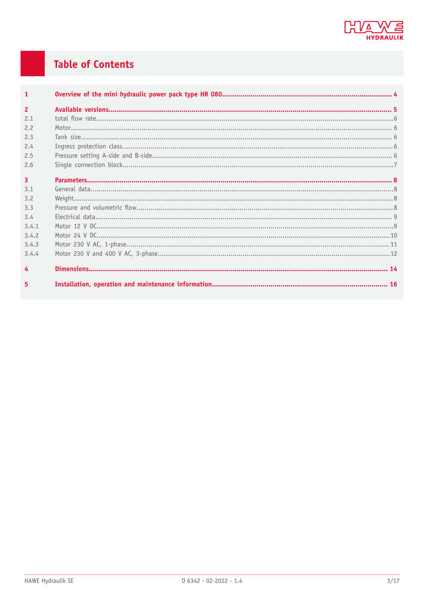

## **Table of Contents**

| $\overline{1}$ |  |
|----------------|--|
| $\overline{2}$ |  |
| 2.1            |  |
| 2.2            |  |
| 2.3            |  |
| 2.4            |  |
| 2.5            |  |
| 2.6            |  |
| $\overline{3}$ |  |
| 3.1            |  |
| 3.2            |  |
| 3.3            |  |
| 3.4            |  |
| 3.4.1          |  |
| 3.4.2          |  |
| 3.4.3          |  |
| 3.4.4          |  |
| 4              |  |
| 5              |  |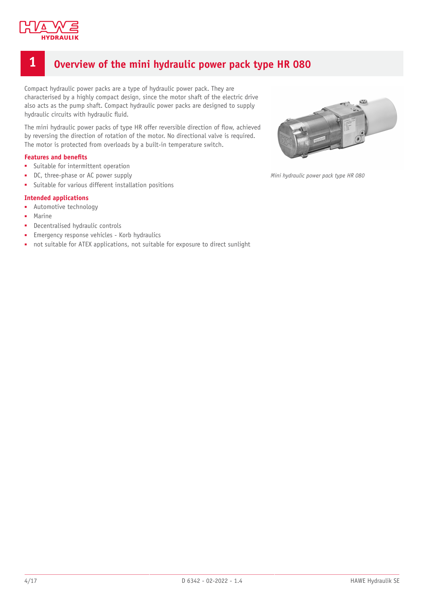

### <span id="page-3-0"></span>**1 Overview of the mini hydraulic power pack type HR 080**

Compact hydraulic power packs are a type of hydraulic power pack. They are characterised by a highly compact design, since the motor shaft of the electric drive also acts as the pump shaft. Compact hydraulic power packs are designed to supply hydraulic circuits with hydraulic fluid.

The mini hydraulic power packs of type HR offer reversible direction of flow, achieved by reversing the direction of rotation of the motor. No directional valve is required. The motor is protected from overloads by a built-in temperature switch.

#### **Features and benets**

- Suitable for intermittent operation
- DC, three-phase or AC power supply
- Suitable for various different installation positions

#### **Intended applications**

- Automotive technology
- **Marine**
- Decentralised hydraulic controls
- Emergency response vehicles Korb hydraulics
- not suitable for ATEX applications, not suitable for exposure to direct sunlight



*Mini hydraulic power pack type HR 080*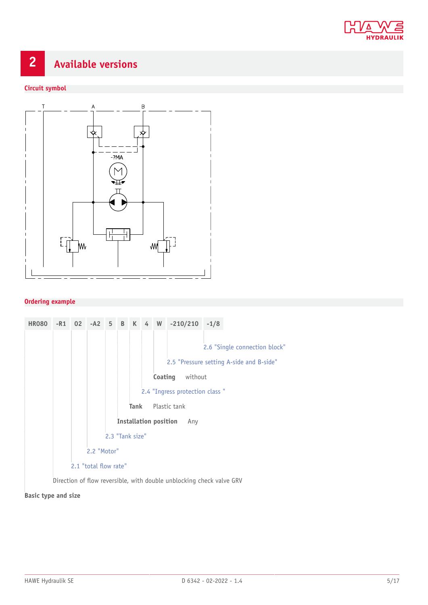

# <span id="page-4-0"></span>**2 Available versions**

#### **Circuit symbol**



#### **Ordering example**



#### **Basic type and size**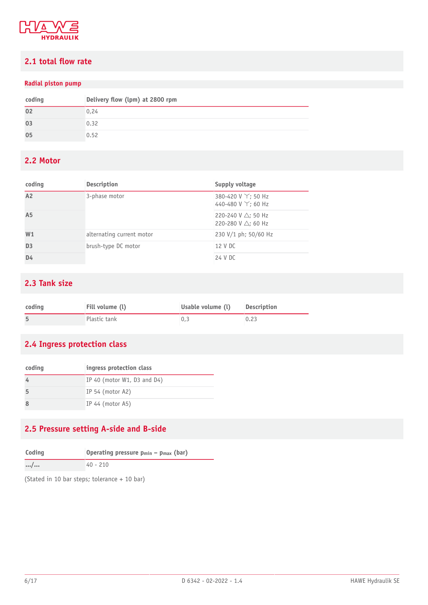

### <span id="page-5-0"></span>**2.1 total ow rate**

#### **Radial piston pump**

| coding | Delivery flow (lpm) at 2800 rpm |
|--------|---------------------------------|
| 02     | 0,24                            |
| 03     | 0.32                            |
| 05     | 0.52                            |

### <span id="page-5-1"></span>**2.2 Motor**

| coding         | <b>Description</b>        | Supply voltage                                                 |
|----------------|---------------------------|----------------------------------------------------------------|
| A2             | 3-phase motor             | 380-420 V Y; 50 Hz<br>440-480 V Y; 60 Hz                       |
| A <sub>5</sub> |                           | 220-240 V $\triangle$ ; 50 Hz<br>220-280 V $\triangle$ ; 60 Hz |
| W <sub>1</sub> | alternating current motor | 230 V/1 ph; 50/60 Hz                                           |
| D <sub>3</sub> | brush-type DC motor       | 12 V DC                                                        |
| D4             |                           | 24 V DC                                                        |

### <span id="page-5-2"></span>**2.3 Tank size**

| coding | Fill volume (l) | Usable volume (l) | Description |
|--------|-----------------|-------------------|-------------|
|        | Plastic tank    |                   | 0.23        |

### <span id="page-5-3"></span>**2.4 Ingress protection class**

| coding | ingress protection class       |
|--------|--------------------------------|
|        | IP 40 (motor $W1$ , D3 and D4) |
|        | IP 54 (motor $A2$ )            |
|        | IP 44 (motor $A5$ )            |

### <span id="page-5-4"></span>**2.5 Pressure setting A-side and B-side**

| Coding   | Operating pressure $p_{min}$ – $p_{max}$ (bar) |
|----------|------------------------------------------------|
| $\cdots$ | $40 - 210$                                     |

(Stated in 10 bar steps; tolerance + 10 bar)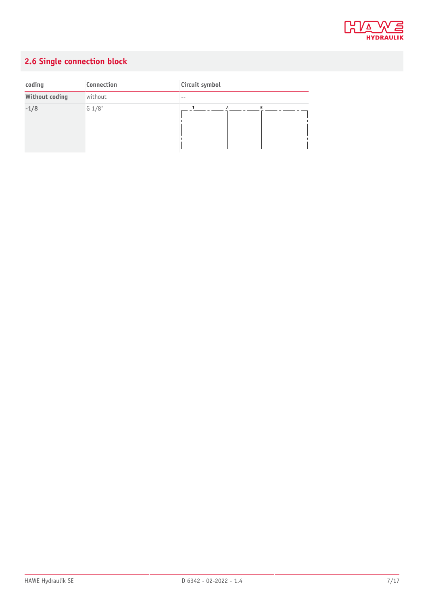

## <span id="page-6-0"></span>**2.6 Single connection block**

| coding         | Connection | Circuit symbol      |
|----------------|------------|---------------------|
| Without coding | without    | --                  |
| $-1/8$         | G 1/8"     | B<br>$\overline{A}$ |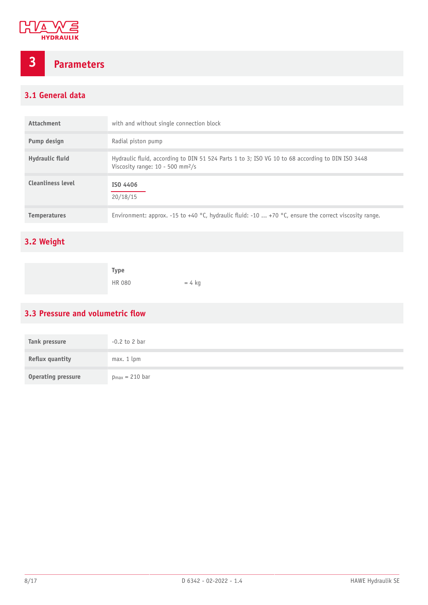

# <span id="page-7-0"></span>**3 Parameters**

### <span id="page-7-1"></span>**3.1 General data**

| Attachment               | with and without single connection block                                                                                                           |
|--------------------------|----------------------------------------------------------------------------------------------------------------------------------------------------|
| Pump design              | Radial piston pump                                                                                                                                 |
| Hydraulic fluid          | Hydraulic fluid, according to DIN 51 524 Parts 1 to 3; ISO VG 10 to 68 according to DIN ISO 3448<br>Viscosity range: $10 - 500$ mm <sup>2</sup> /s |
| <b>Cleanliness level</b> | ISO 4406<br>20/18/15                                                                                                                               |
| <b>Temperatures</b>      | Environment: approx. -15 to +40 °C, hydraulic fluid: -10  +70 °C, ensure the correct viscosity range.                                              |

### <span id="page-7-2"></span>**3.2 Weight**

| Type          |          |
|---------------|----------|
| <b>HR 080</b> | $= 4$ kg |

### <span id="page-7-3"></span>**3.3** Pressure and volumetric flow

| Tank pressure             | $-0.2$ to 2 bar     |
|---------------------------|---------------------|
| Reflux quantity           | max. 1 lpm          |
| <b>Operating pressure</b> | $p_{max} = 210$ bar |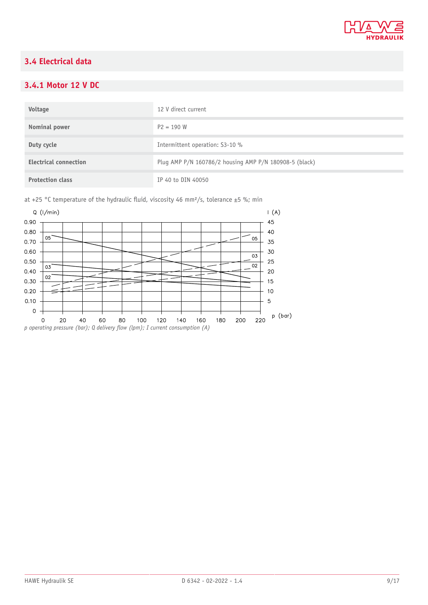

### <span id="page-8-0"></span>**3.4 Electrical data**

### <span id="page-8-1"></span>**3.4.1 Motor 12 V DC**

| Voltage                      | 12 V direct current                                    |
|------------------------------|--------------------------------------------------------|
| Nominal power                | $P2 = 190 W$                                           |
| Duty cycle                   | Intermittent operation: S3-10 %                        |
| <b>Electrical connection</b> | Plug AMP P/N 160786/2 housing AMP P/N 180908-5 (black) |
| <b>Protection class</b>      | IP 40 to DIN 40050                                     |

at +25 °C temperature of the hydraulic fluid, viscosity 46 mm<sup>2</sup>/s, tolerance ±5 %; min

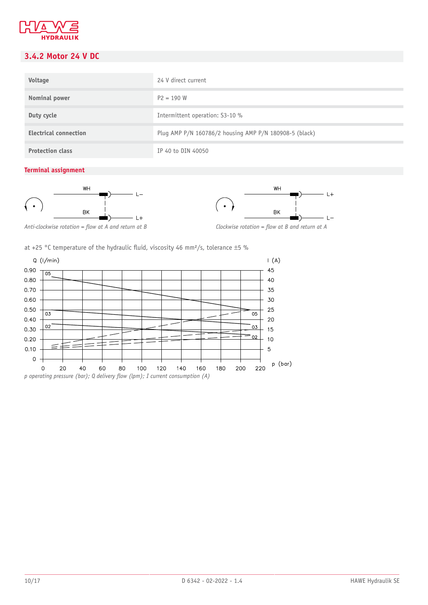

### <span id="page-9-0"></span>**3.4.2 Motor 24 V DC**

| Voltage                      | 24 V direct current                                    |
|------------------------------|--------------------------------------------------------|
| Nominal power                | $P2 = 190 W$                                           |
| Duty cycle                   | Intermittent operation: S3-10 %                        |
| <b>Electrical connection</b> | Plug AMP P/N 160786/2 housing AMP P/N 180908-5 (black) |
| <b>Protection class</b>      | IP 40 to DIN 40050                                     |

#### **Terminal assignment**





Anti-clockwise rotation = flow at A and return at B *Clockwise rotation = flow at B and return at A* 



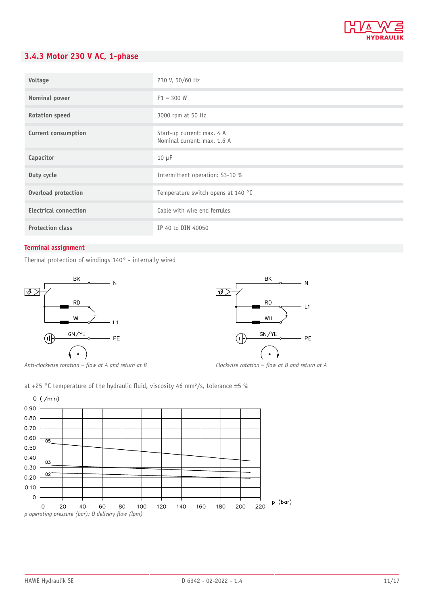

### <span id="page-10-0"></span>**3.4.3 Motor 230 V AC, 1-phase**

| Voltage                      | 230 V, 50/60 Hz                                           |
|------------------------------|-----------------------------------------------------------|
| Nominal power                | $P1 = 300 W$                                              |
| <b>Rotation speed</b>        | 3000 rpm at 50 Hz                                         |
| Current consumption          | Start-up current: max. 4 A<br>Nominal current: max. 1.6 A |
| Capacitor                    | $10 \mu F$                                                |
| Duty cycle                   | Intermittent operation: S3-10 %                           |
| Overload protection          | Temperature switch opens at 140 °C                        |
| <b>Electrical connection</b> | Cable with wire end ferrules                              |
| <b>Protection class</b>      | IP 40 to DIN 40050                                        |

#### **Terminal assignment**

Thermal protection of windings 140° - internally wired



Anti-clockwise rotation = flow at A and return at B *Clockwise rotation = flow at B and return at A* 



at +25 °C temperature of the hydraulic fluid, viscosity 46 mm<sup>2</sup>/s, tolerance  $\pm$ 5 %

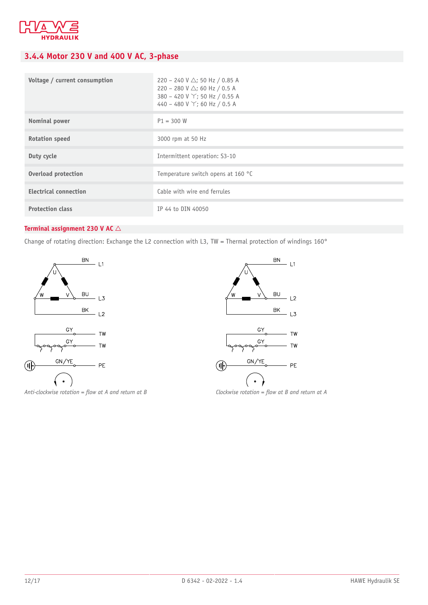

### <span id="page-11-0"></span>**3.4.4 Motor 230 V and 400 V AC, 3-phase**

| Voltage / current consumption | 220 - 240 V $\triangle$ ; 50 Hz / 0.85 A<br>220 - 280 V $\triangle$ ; 60 Hz / 0.5 A<br>380 - 420 V Y; 50 Hz / 0.55 A<br>440 - 480 V Y; 60 Hz / 0.5 A |
|-------------------------------|------------------------------------------------------------------------------------------------------------------------------------------------------|
| Nominal power                 | $P1 = 300 W$                                                                                                                                         |
| <b>Rotation speed</b>         | 3000 rpm at 50 Hz                                                                                                                                    |
| Duty cycle                    | Intermittent operation: S3-10                                                                                                                        |
| <b>Overload protection</b>    | Temperature switch opens at 160 °C                                                                                                                   |
| <b>Electrical connection</b>  | Cable with wire end ferrules                                                                                                                         |
| <b>Protection class</b>       | IP 44 to DIN 40050                                                                                                                                   |

#### **Terminal assignment 230 V AC**  $\triangle$

Change of rotating direction: Exchange the L2 connection with L3, TW = Thermal protection of windings 160°



Anti-clockwise rotation = flow at A and return at B *Clockwise rotation = flow at B and return at A* 

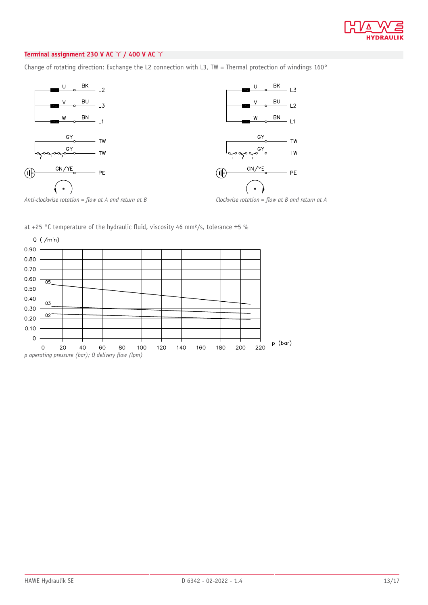

#### **Terminal assignment 230 V AC** ! **/ 400 V AC** !

Change of rotating direction: Exchange the L2 connection with L3, TW = Thermal protection of windings 160°





*Anti-clockwise rotation = flow at A and return at B Clockwise rotation = flow at B and return at A* 

at +25 °C temperature of the hydraulic fluid, viscosity 46 mm<sup>2</sup>/s, tolerance  $\pm$ 5 %



*p* operating pressure (bar); Q delivery flow (lpm)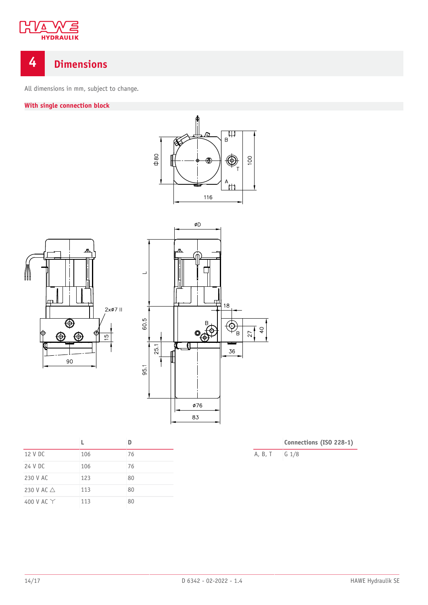

# <span id="page-13-0"></span>**4 Dimensions**

All dimensions in mm, subject to change.

### **With single connection block**



| 12 V DC              | 106 | 76 |
|----------------------|-----|----|
| 24 V DC              | 106 | 76 |
| 230 V AC             | 123 | 80 |
| 230 V AC $\triangle$ | 113 | 80 |
| 400 V AC $\Upsilon$  | 113 | 80 |

A, B, T G 1/8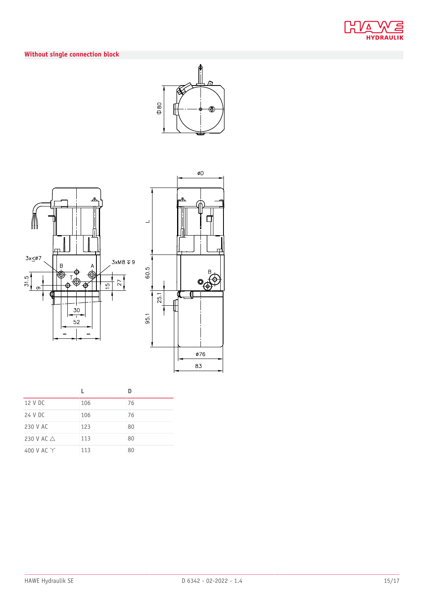

### **Without single connection block**







| 12 V DC              | 106 | 76 |
|----------------------|-----|----|
| 24 V DC              | 106 | 76 |
| 230 V AC             | 123 | 80 |
| 230 V AC $\triangle$ | 113 | 80 |
| 400 V AC $\Upsilon$  | 113 | 80 |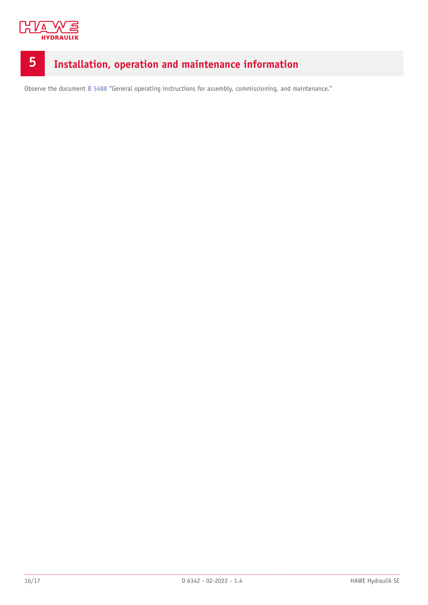

# <span id="page-15-0"></span>**5 Installation, operation and maintenance information**

Observe the document [B 5488](http://www.hawe.de/fileadmin/content/typeman/catalog/Pdf/5/4/B5488-en.pdf) "General operating instructions for assembly, commissioning, and maintenance."